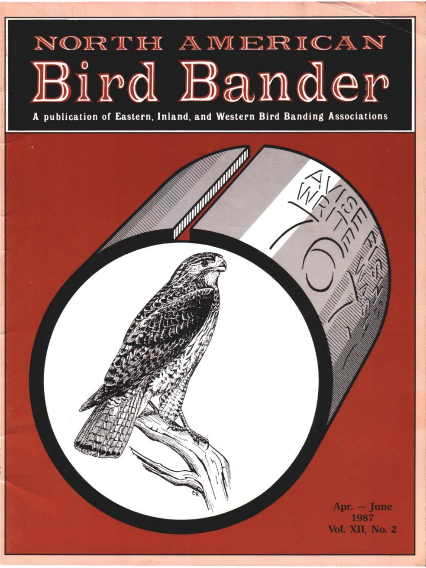## NORTH AMERICAN Bird Bander

**A publication of Eastern, Inland, and Western Bird Banding Associations** 

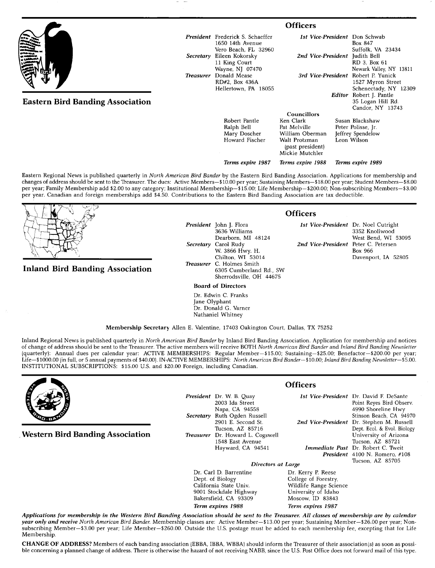|                                         |                  | <b>Officers</b>                                                                     |                                                                                                                            |  |                                                                           |  |
|-----------------------------------------|------------------|-------------------------------------------------------------------------------------|----------------------------------------------------------------------------------------------------------------------------|--|---------------------------------------------------------------------------|--|
|                                         |                  | <b>President</b> Frederick S. Schaeffer<br>1650 14th Avenue<br>Vero Beach, FL 32960 |                                                                                                                            |  | 1st Vice-President Don Schwab<br>Box 847<br>Suffolk, VA 23434             |  |
|                                         | Secretary        | Eileen Kokorsky<br>11 King Court<br>Wayne, NJ 07470                                 | 2nd Vice-President<br>3rd Vice-President Robert P. Yunick                                                                  |  | Judith Bell<br>RD 3, Box 61<br>Newark Valley, NY 13811                    |  |
|                                         | <b>Treasurer</b> | Donald Mease<br>RD#2, Box 436A<br>Hellertown, PA 18055                              |                                                                                                                            |  | 1527 Myron Street<br>Schenectady, NY 12309                                |  |
| <b>Eastern Bird Banding Association</b> |                  |                                                                                     |                                                                                                                            |  | Editor Robert J. Pantle<br>35 Logan Hill Rd.<br>Candor, NY 13743          |  |
|                                         |                  | Robert Pantle<br>Ralph Bell<br>Mary Doscher<br>Howard Fischer                       | <b>Councillors</b><br>Ken Clark<br>Pat Melville<br>William Oberman<br>Walt Protzman<br>(past president)<br>Mickie Mutchler |  | Susan Blackshaw<br>Peter Polisse, Jr.<br>Jeffrey Spendelow<br>Leon Wilson |  |
|                                         |                  | Terms expire 1987                                                                   | Terms expire 1988                                                                                                          |  | Terms expire 1989                                                         |  |

**Eastern Regional News is published quarterly in North American Bird Bander by the Eastern Bird Banding Association. Applications for membership and**  changes of address should be sent to the Treasurer. The dues: Active Members-\$10.00 per year; Sustaining Members-\$18.00 per year; Student Members-\$8.00 **per year; Family Membership add \$2.00 to any category; Institutional Membership--\$15.00; Life Membership--S200.00; Non-subscribing Members--S3.00**  per year. Canadian and foreign memberships add \$4.50. Contributions to the Eastern Bird Banding Association are tax deductible.

**Inland Bird Banding Association** 

**President John J. Flora**  Dearborn, MI 48124<br>Carol Rudy **Secretary Carol Rudy 2nd Vice-President Peter C. Petersen** W. 3866 Hwy. H. **2nd Vice-President Box 966** W. 3866 Hwy. H.<br>Chilton, WI 53014 **Treasurer C. Holmes Smith 6305 Cumberland Rd., SW Sherrodsville, OH 44675** 

**Board of Directors** 

**Dr. Edwin C. Franks Jane Olyphant Dr. Donald G. Varner Nathaniel Whitney** 

**Membership Secretary Allen E. Valentine, 17403 Oakington Court, Dallas, TX 75252** 

**Inland Regional News is published quarterly in North American Bird Bander by Inland Bird Banding Association. Application for membership and notices of change of address should be sent to the Treasurer. The active members will receive BOTH North American Bird Bander and Inland Bird Banding Newsletter**  (quarterly): Annual dues per calendar year: ACTIVE MEMBERSHIPS: Regular Member-\$15.00; Sustaining-\$25.00; Benefactor-\$200.00 per year; Life-\$1000.00 (in full, or 5 annual payments of \$40.00). IN-ACTIVE MEMBERSHIPS: North American Bird Bander--\$10.00; Inland Bird Banding Newsletter--\$5.00. **INSTITUTIONAL SUBSCRIPTIONS: \$15.00 U.S. and \$20.00 Foreign, including Canadian.** 



**ß Western Bird Banding Association** 

**President Dr. W. B. Quay 2003 Ida Street Napa, CA 94558 Secretary Ruth Ogden Russell 2901 E. Second St. Tucson, AZ 85716 Treasurer Dr. Howard L. Cogswell 1548 East Avenue Hayward, CA 94541** 

*Ist Vice-President* Dr. David F. DeSant **2nd Vice-President Dr. Stephen M. Russell Immediate Past** Dr. Robert C. Twei **President 4100 N. Romero, #108 Point Reyes Bird Observ. 4990 Shoreline Hwy Stinson Beach, CA 94970 Dept. Ecol. & Evol. Biology University of Arizona Tucson, AZ 85721 Tucson, AZ 85705** 

**Directors at Large** 

Dr. Carl D. Barrentine<br>Dept. of Biology **Dept. of Biology College of Forestry, 9001 Stockdale Highway University of Idaho**  Bakersfield, CA 93309 **Term expires 1988 Term expires 1987** 

**Applications for membership in the Western Bird Banding Association should be sent to the Treasurer All classes of membership are by calendar**  year only and receive North American Bird Bander. Membership classes are: Active Member-\$13.00 per year; Sustaining Member-\$26.00 per year; Nonsubscribing Member-\$3.00 per year; Life Member-\$260.00. Outside the U.S. postage must be added to each membership fee, excepting that for Life **Membership.** 

**CHANGE OF ADDRESS?** Members of each banding association (EBBA, IBBA, WBBA) should inform the Treasurer of their association(s) as soon as possible concerning a planned change of address. There is otherwise the hazard of not receiving NABB, since the U.S. Post Office does not forward mail of this type.

**Officers** 

**Wildlife Range Science**<br>University of Idaho

**Officers** 

**3636 Williams 3352 Knollwood**  Davenport, IA 52805

**1st Vice-President Dr. Noel Cutright**